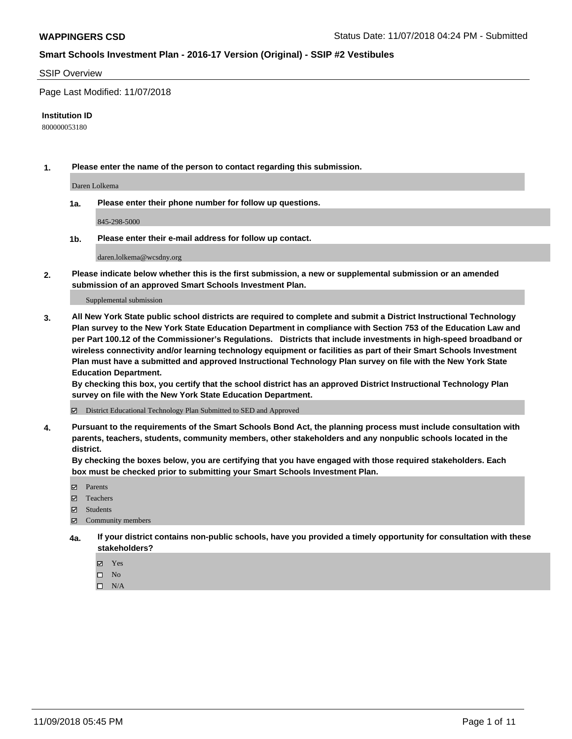#### SSIP Overview

Page Last Modified: 11/07/2018

#### **Institution ID**

800000053180

**1. Please enter the name of the person to contact regarding this submission.**

Daren Lolkema

**1a. Please enter their phone number for follow up questions.**

845-298-5000

**1b. Please enter their e-mail address for follow up contact.**

daren.lolkema@wcsdny.org

**2. Please indicate below whether this is the first submission, a new or supplemental submission or an amended submission of an approved Smart Schools Investment Plan.**

Supplemental submission

**3. All New York State public school districts are required to complete and submit a District Instructional Technology Plan survey to the New York State Education Department in compliance with Section 753 of the Education Law and per Part 100.12 of the Commissioner's Regulations. Districts that include investments in high-speed broadband or wireless connectivity and/or learning technology equipment or facilities as part of their Smart Schools Investment Plan must have a submitted and approved Instructional Technology Plan survey on file with the New York State Education Department.** 

**By checking this box, you certify that the school district has an approved District Instructional Technology Plan survey on file with the New York State Education Department.**

District Educational Technology Plan Submitted to SED and Approved

**4. Pursuant to the requirements of the Smart Schools Bond Act, the planning process must include consultation with parents, teachers, students, community members, other stakeholders and any nonpublic schools located in the district.** 

**By checking the boxes below, you are certifying that you have engaged with those required stakeholders. Each box must be checked prior to submitting your Smart Schools Investment Plan.**

- **□** Parents
- Teachers
- Students
- $\boxtimes$  Community members
- **4a. If your district contains non-public schools, have you provided a timely opportunity for consultation with these stakeholders?**
	- Yes
	- $\qquad \qquad$  No
	- $\square$  N/A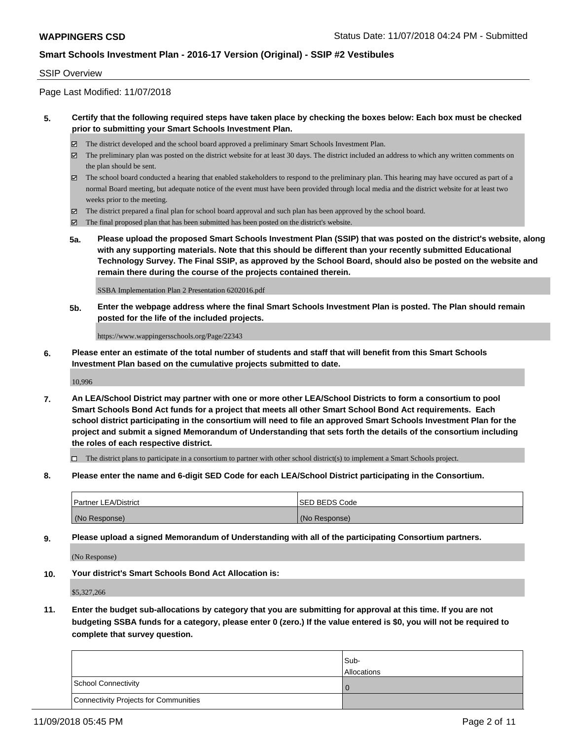#### SSIP Overview

Page Last Modified: 11/07/2018

#### **5. Certify that the following required steps have taken place by checking the boxes below: Each box must be checked prior to submitting your Smart Schools Investment Plan.**

- The district developed and the school board approved a preliminary Smart Schools Investment Plan.
- $\boxtimes$  The preliminary plan was posted on the district website for at least 30 days. The district included an address to which any written comments on the plan should be sent.
- $\boxtimes$  The school board conducted a hearing that enabled stakeholders to respond to the preliminary plan. This hearing may have occured as part of a normal Board meeting, but adequate notice of the event must have been provided through local media and the district website for at least two weeks prior to the meeting.
- The district prepared a final plan for school board approval and such plan has been approved by the school board.
- $\boxtimes$  The final proposed plan that has been submitted has been posted on the district's website.
- **5a. Please upload the proposed Smart Schools Investment Plan (SSIP) that was posted on the district's website, along with any supporting materials. Note that this should be different than your recently submitted Educational Technology Survey. The Final SSIP, as approved by the School Board, should also be posted on the website and remain there during the course of the projects contained therein.**

SSBA Implementation Plan 2 Presentation 6202016.pdf

**5b. Enter the webpage address where the final Smart Schools Investment Plan is posted. The Plan should remain posted for the life of the included projects.**

https://www.wappingersschools.org/Page/22343

**6. Please enter an estimate of the total number of students and staff that will benefit from this Smart Schools Investment Plan based on the cumulative projects submitted to date.**

10,996

**7. An LEA/School District may partner with one or more other LEA/School Districts to form a consortium to pool Smart Schools Bond Act funds for a project that meets all other Smart School Bond Act requirements. Each school district participating in the consortium will need to file an approved Smart Schools Investment Plan for the project and submit a signed Memorandum of Understanding that sets forth the details of the consortium including the roles of each respective district.**

 $\Box$  The district plans to participate in a consortium to partner with other school district(s) to implement a Smart Schools project.

**8. Please enter the name and 6-digit SED Code for each LEA/School District participating in the Consortium.**

| <b>Partner LEA/District</b> | <b>ISED BEDS Code</b> |
|-----------------------------|-----------------------|
| (No Response)               | (No Response)         |

**9. Please upload a signed Memorandum of Understanding with all of the participating Consortium partners.**

(No Response)

**10. Your district's Smart Schools Bond Act Allocation is:**

\$5,327,266

**11. Enter the budget sub-allocations by category that you are submitting for approval at this time. If you are not budgeting SSBA funds for a category, please enter 0 (zero.) If the value entered is \$0, you will not be required to complete that survey question.**

|                                              | Sub-<br><b>Allocations</b> |
|----------------------------------------------|----------------------------|
| <b>School Connectivity</b>                   |                            |
| <b>Connectivity Projects for Communities</b> |                            |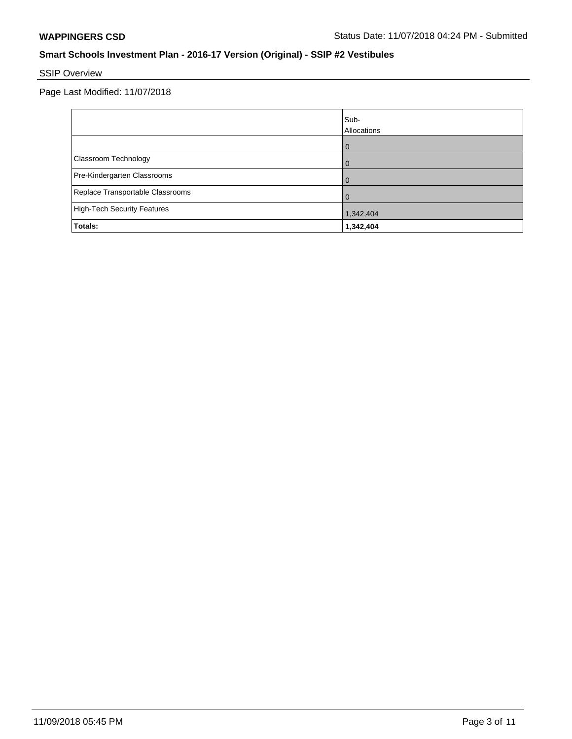# SSIP Overview

|                                  | Sub-<br>Allocations |
|----------------------------------|---------------------|
|                                  | 0                   |
| Classroom Technology             | $\overline{0}$      |
| Pre-Kindergarten Classrooms      | $\Omega$            |
| Replace Transportable Classrooms |                     |
| High-Tech Security Features      | 1,342,404           |
| Totals:                          | 1,342,404           |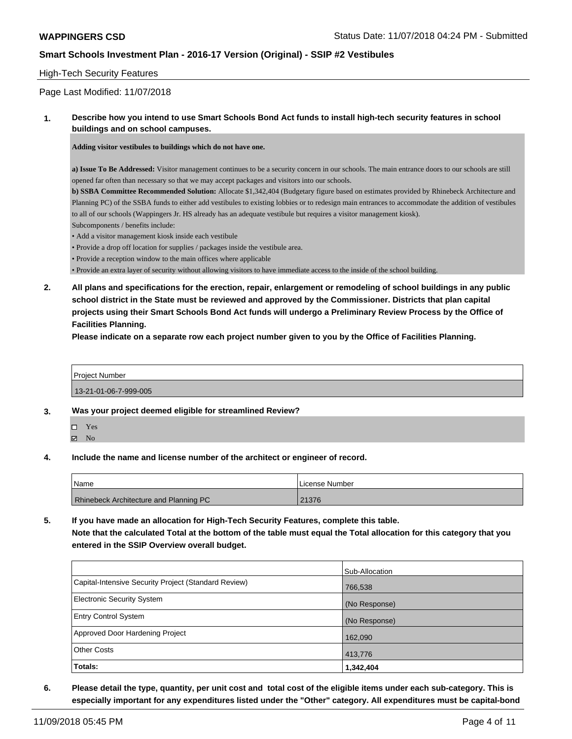#### High-Tech Security Features

Page Last Modified: 11/07/2018

#### **1. Describe how you intend to use Smart Schools Bond Act funds to install high-tech security features in school buildings and on school campuses.**

**Adding visitor vestibules to buildings which do not have one.**

**a) Issue To Be Addressed:** Visitor management continues to be a security concern in our schools. The main entrance doors to our schools are still opened far often than necessary so that we may accept packages and visitors into our schools.

**b) SSBA Committee Recommended Solution:** Allocate \$1,342,404 (Budgetary figure based on estimates provided by Rhinebeck Architecture and Planning PC) of the SSBA funds to either add vestibules to existing lobbies or to redesign main entrances to accommodate the addition of vestibules to all of our schools (Wappingers Jr. HS already has an adequate vestibule but requires a visitor management kiosk).

- Subcomponents / benefits include:
- Add a visitor management kiosk inside each vestibule
- Provide a drop off location for supplies / packages inside the vestibule area.
- Provide a reception window to the main offices where applicable

• Provide an extra layer of security without allowing visitors to have immediate access to the inside of the school building.

**2. All plans and specifications for the erection, repair, enlargement or remodeling of school buildings in any public school district in the State must be reviewed and approved by the Commissioner. Districts that plan capital projects using their Smart Schools Bond Act funds will undergo a Preliminary Review Process by the Office of Facilities Planning.** 

**Please indicate on a separate row each project number given to you by the Office of Facilities Planning.**

| <b>Project Number</b> |  |  |
|-----------------------|--|--|
| .                     |  |  |

13-21-01-06-7-999-005

- **3. Was your project deemed eligible for streamlined Review?**
	- Yes  $\boxtimes$  No
- **4. Include the name and license number of the architect or engineer of record.**

| l Name                                        | License Number |
|-----------------------------------------------|----------------|
| <b>Rhinebeck Architecture and Planning PC</b> | 21376          |

**5. If you have made an allocation for High-Tech Security Features, complete this table. Note that the calculated Total at the bottom of the table must equal the Total allocation for this category that you entered in the SSIP Overview overall budget.**

|                                                      | Sub-Allocation |
|------------------------------------------------------|----------------|
| Capital-Intensive Security Project (Standard Review) | 766,538        |
| Electronic Security System                           | (No Response)  |
| <b>Entry Control System</b>                          | (No Response)  |
| Approved Door Hardening Project                      | 162,090        |
| <b>Other Costs</b>                                   | 413,776        |
| Totals:                                              | 1,342,404      |

**6. Please detail the type, quantity, per unit cost and total cost of the eligible items under each sub-category. This is especially important for any expenditures listed under the "Other" category. All expenditures must be capital-bond**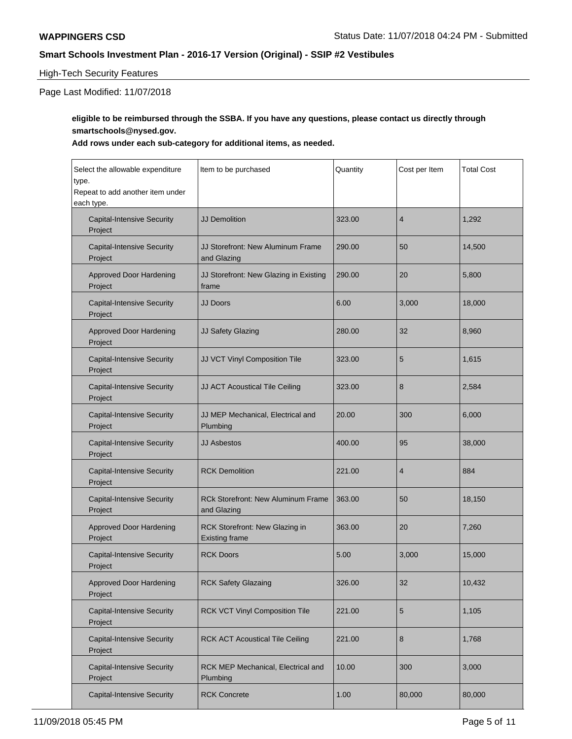#### High-Tech Security Features

Page Last Modified: 11/07/2018

### **eligible to be reimbursed through the SSBA. If you have any questions, please contact us directly through smartschools@nysed.gov.**

#### **Add rows under each sub-category for additional items, as needed.**

| Select the allowable expenditure<br>type.<br>Repeat to add another item under<br>each type. | Item to be purchased                                     | Quantity | Cost per Item  | <b>Total Cost</b> |
|---------------------------------------------------------------------------------------------|----------------------------------------------------------|----------|----------------|-------------------|
| <b>Capital-Intensive Security</b><br>Project                                                | <b>JJ Demolition</b>                                     | 323.00   | $\overline{4}$ | 1,292             |
| <b>Capital-Intensive Security</b><br>Project                                                | JJ Storefront: New Aluminum Frame<br>and Glazing         | 290.00   | 50             | 14,500            |
| <b>Approved Door Hardening</b><br>Project                                                   | JJ Storefront: New Glazing in Existing<br>frame          | 290.00   | 20             | 5,800             |
| <b>Capital-Intensive Security</b><br>Project                                                | <b>JJ Doors</b>                                          | 6.00     | 3,000          | 18,000            |
| <b>Approved Door Hardening</b><br>Project                                                   | JJ Safety Glazing                                        | 280.00   | 32             | 8,960             |
| <b>Capital-Intensive Security</b><br>Project                                                | JJ VCT Vinyl Composition Tile                            | 323.00   | 5              | 1,615             |
| <b>Capital-Intensive Security</b><br>Project                                                | JJ ACT Acoustical Tile Ceiling                           | 323.00   | 8              | 2,584             |
| <b>Capital-Intensive Security</b><br>Project                                                | JJ MEP Mechanical, Electrical and<br>Plumbing            | 20.00    | 300            | 6,000             |
| <b>Capital-Intensive Security</b><br>Project                                                | <b>JJ Asbestos</b>                                       | 400.00   | 95             | 38,000            |
| <b>Capital-Intensive Security</b><br>Project                                                | <b>RCK Demolition</b>                                    | 221.00   | $\overline{4}$ | 884               |
| <b>Capital-Intensive Security</b><br>Project                                                | <b>RCk Storefront: New Aluminum Frame</b><br>and Glazing | 363.00   | 50             | 18,150            |
| <b>Approved Door Hardening</b><br>Project                                                   | RCK Storefront: New Glazing in<br><b>Existing frame</b>  | 363.00   | 20             | 7,260             |
| <b>Capital-Intensive Security</b><br>Project                                                | <b>RCK Doors</b>                                         | 5.00     | 3,000          | 15,000            |
| <b>Approved Door Hardening</b><br>Project                                                   | <b>RCK Safety Glazaing</b>                               | 326.00   | 32             | 10,432            |
| <b>Capital-Intensive Security</b><br>Project                                                | RCK VCT Vinyl Composition Tile                           | 221.00   | 5              | 1,105             |
| <b>Capital-Intensive Security</b><br>Project                                                | <b>RCK ACT Acoustical Tile Ceiling</b>                   | 221.00   | 8              | 1,768             |
| <b>Capital-Intensive Security</b><br>Project                                                | RCK MEP Mechanical, Electrical and<br>Plumbing           | 10.00    | 300            | 3,000             |
| <b>Capital-Intensive Security</b>                                                           | <b>RCK Concrete</b>                                      | 1.00     | 80,000         | 80,000            |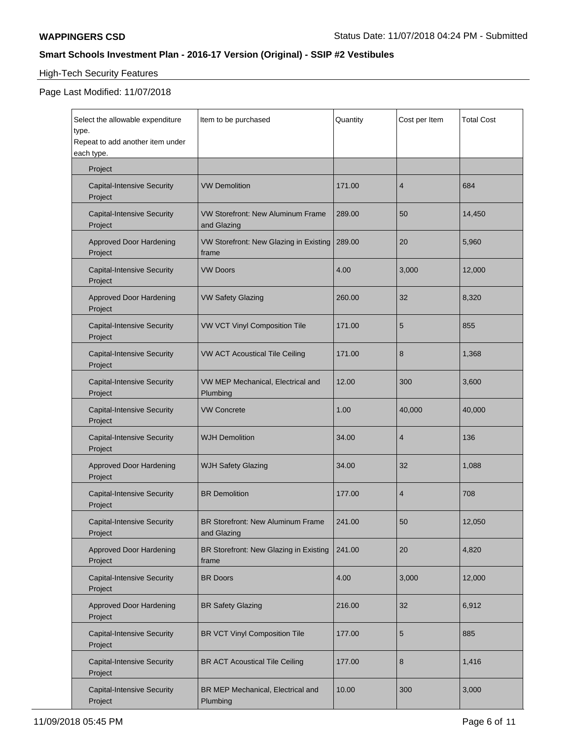# High-Tech Security Features

| Select the allowable expenditure<br>type.<br>Repeat to add another item under<br>each type. | Item to be purchased                                    | Quantity | Cost per Item  | <b>Total Cost</b> |
|---------------------------------------------------------------------------------------------|---------------------------------------------------------|----------|----------------|-------------------|
| Project                                                                                     |                                                         |          |                |                   |
| <b>Capital-Intensive Security</b><br>Project                                                | <b>VW Demolition</b>                                    | 171.00   | $\overline{4}$ | 684               |
| <b>Capital-Intensive Security</b><br>Project                                                | <b>VW Storefront: New Aluminum Frame</b><br>and Glazing | 289.00   | 50             | 14,450            |
| <b>Approved Door Hardening</b><br>Project                                                   | VW Storefront: New Glazing in Existing<br>frame         | 289.00   | 20             | 5,960             |
| <b>Capital-Intensive Security</b><br>Project                                                | <b>VW Doors</b>                                         | 4.00     | 3,000          | 12,000            |
| <b>Approved Door Hardening</b><br>Project                                                   | <b>VW Safety Glazing</b>                                | 260.00   | 32             | 8,320             |
| <b>Capital-Intensive Security</b><br>Project                                                | VW VCT Vinyl Composition Tile                           | 171.00   | 5              | 855               |
| <b>Capital-Intensive Security</b><br>Project                                                | <b>VW ACT Acoustical Tile Ceiling</b>                   | 171.00   | 8              | 1,368             |
| <b>Capital-Intensive Security</b><br>Project                                                | VW MEP Mechanical, Electrical and<br>Plumbing           | 12.00    | 300            | 3,600             |
| <b>Capital-Intensive Security</b><br>Project                                                | <b>VW Concrete</b>                                      | 1.00     | 40,000         | 40,000            |
| <b>Capital-Intensive Security</b><br>Project                                                | <b>WJH Demolition</b>                                   | 34.00    | $\overline{4}$ | 136               |
| <b>Approved Door Hardening</b><br>Project                                                   | <b>WJH Safety Glazing</b>                               | 34.00    | 32             | 1,088             |
| <b>Capital-Intensive Security</b><br>Project                                                | <b>BR</b> Demolition                                    | 177.00   | $\overline{4}$ | 708               |
| <b>Capital-Intensive Security</b><br>Project                                                | <b>BR Storefront: New Aluminum Frame</b><br>and Glazing | 241.00   | 50             | 12,050            |
| <b>Approved Door Hardening</b><br>Project                                                   | BR Storefront: New Glazing in Existing<br>frame         | 241.00   | 20             | 4,820             |
| <b>Capital-Intensive Security</b><br>Project                                                | <b>BR</b> Doors                                         | 4.00     | 3,000          | 12,000            |
| <b>Approved Door Hardening</b><br>Project                                                   | <b>BR Safety Glazing</b>                                | 216.00   | 32             | 6,912             |
| <b>Capital-Intensive Security</b><br>Project                                                | <b>BR VCT Vinyl Composition Tile</b>                    | 177.00   | 5              | 885               |
| <b>Capital-Intensive Security</b><br>Project                                                | <b>BR ACT Acoustical Tile Ceiling</b>                   | 177.00   | 8              | 1,416             |
| <b>Capital-Intensive Security</b><br>Project                                                | BR MEP Mechanical, Electrical and<br>Plumbing           | 10.00    | 300            | 3,000             |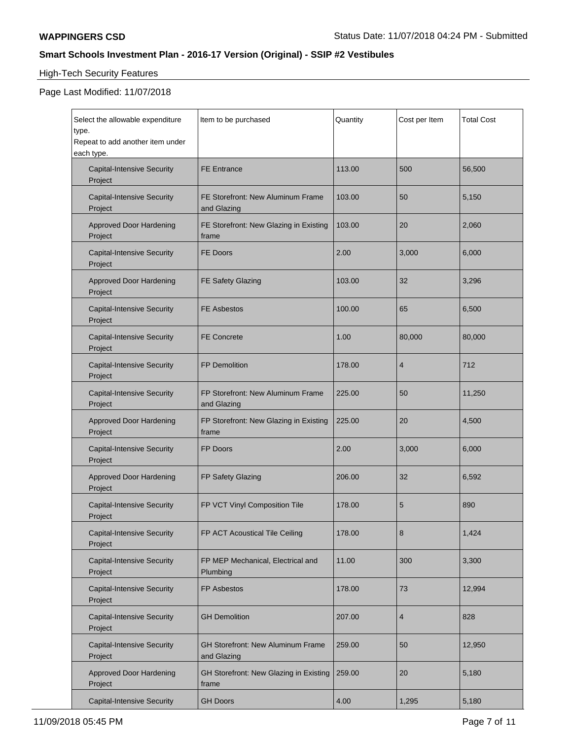# High-Tech Security Features

| Select the allowable expenditure<br>type.<br>Repeat to add another item under<br>each type. | Item to be purchased                                    | Quantity | Cost per Item  | <b>Total Cost</b> |
|---------------------------------------------------------------------------------------------|---------------------------------------------------------|----------|----------------|-------------------|
| <b>Capital-Intensive Security</b><br>Project                                                | <b>FE Entrance</b>                                      | 113.00   | 500            | 56,500            |
| <b>Capital-Intensive Security</b><br>Project                                                | FE Storefront: New Aluminum Frame<br>and Glazing        | 103.00   | 50             | 5,150             |
| <b>Approved Door Hardening</b><br>Project                                                   | FE Storefront: New Glazing in Existing<br>frame         | 103.00   | 20             | 2,060             |
| <b>Capital-Intensive Security</b><br>Project                                                | <b>FE Doors</b>                                         | 2.00     | 3,000          | 6,000             |
| <b>Approved Door Hardening</b><br>Project                                                   | FE Safety Glazing                                       | 103.00   | 32             | 3,296             |
| <b>Capital-Intensive Security</b><br>Project                                                | <b>FE Asbestos</b>                                      | 100.00   | 65             | 6,500             |
| <b>Capital-Intensive Security</b><br>Project                                                | <b>FE Concrete</b>                                      | 1.00     | 80,000         | 80,000            |
| <b>Capital-Intensive Security</b><br>Project                                                | FP Demolition                                           | 178.00   | $\overline{4}$ | 712               |
| <b>Capital-Intensive Security</b><br>Project                                                | FP Storefront: New Aluminum Frame<br>and Glazing        | 225.00   | 50             | 11,250            |
| <b>Approved Door Hardening</b><br>Project                                                   | FP Storefront: New Glazing in Existing<br>frame         | 225.00   | 20             | 4,500             |
| <b>Capital-Intensive Security</b><br>Project                                                | FP Doors                                                | 2.00     | 3,000          | 6,000             |
| <b>Approved Door Hardening</b><br>Project                                                   | FP Safety Glazing                                       | 206.00   | 32             | 6,592             |
| <b>Capital-Intensive Security</b><br>Project                                                | FP VCT Vinyl Composition Tile                           | 178.00   | 5              | 890               |
| <b>Capital-Intensive Security</b><br>Project                                                | FP ACT Acoustical Tile Ceiling                          | 178.00   | 8              | 1,424             |
| <b>Capital-Intensive Security</b><br>Project                                                | FP MEP Mechanical, Electrical and<br>Plumbing           | 11.00    | 300            | 3,300             |
| <b>Capital-Intensive Security</b><br>Project                                                | FP Asbestos                                             | 178.00   | 73             | 12,994            |
| <b>Capital-Intensive Security</b><br>Project                                                | <b>GH Demolition</b>                                    | 207.00   | 4              | 828               |
| <b>Capital-Intensive Security</b><br>Project                                                | <b>GH Storefront: New Aluminum Frame</b><br>and Glazing | 259.00   | 50             | 12,950            |
| <b>Approved Door Hardening</b><br>Project                                                   | GH Storefront: New Glazing in Existing<br>frame         | 259.00   | 20             | 5,180             |
| <b>Capital-Intensive Security</b>                                                           | <b>GH Doors</b>                                         | 4.00     | 1,295          | 5,180             |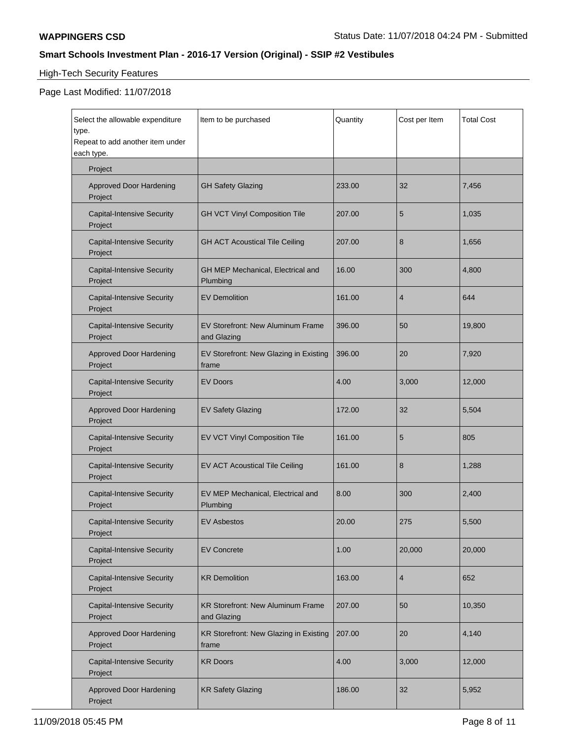# High-Tech Security Features

| Select the allowable expenditure<br>type.<br>Repeat to add another item under<br>each type. | Item to be purchased                             | Quantity | Cost per Item  | <b>Total Cost</b> |
|---------------------------------------------------------------------------------------------|--------------------------------------------------|----------|----------------|-------------------|
| Project                                                                                     |                                                  |          |                |                   |
| <b>Approved Door Hardening</b><br>Project                                                   | <b>GH Safety Glazing</b>                         | 233.00   | 32             | 7,456             |
| <b>Capital-Intensive Security</b><br>Project                                                | <b>GH VCT Vinyl Composition Tile</b>             | 207.00   | 5              | 1,035             |
| <b>Capital-Intensive Security</b><br>Project                                                | <b>GH ACT Acoustical Tile Ceiling</b>            | 207.00   | 8              | 1,656             |
| <b>Capital-Intensive Security</b><br>Project                                                | GH MEP Mechanical, Electrical and<br>Plumbing    | 16.00    | 300            | 4,800             |
| <b>Capital-Intensive Security</b><br>Project                                                | <b>EV Demolition</b>                             | 161.00   | $\overline{4}$ | 644               |
| <b>Capital-Intensive Security</b><br>Project                                                | EV Storefront: New Aluminum Frame<br>and Glazing | 396.00   | 50             | 19,800            |
| <b>Approved Door Hardening</b><br>Project                                                   | EV Storefront: New Glazing in Existing<br>frame  | 396.00   | 20             | 7,920             |
| <b>Capital-Intensive Security</b><br>Project                                                | <b>EV Doors</b>                                  | 4.00     | 3,000          | 12,000            |
| <b>Approved Door Hardening</b><br>Project                                                   | <b>EV Safety Glazing</b>                         | 172.00   | 32             | 5,504             |
| <b>Capital-Intensive Security</b><br>Project                                                | EV VCT Vinyl Composition Tile                    | 161.00   | 5              | 805               |
| <b>Capital-Intensive Security</b><br>Project                                                | EV ACT Acoustical Tile Ceiling                   | 161.00   | 8              | 1,288             |
| <b>Capital-Intensive Security</b><br>Project                                                | EV MEP Mechanical, Electrical and<br>Plumbing    | 8.00     | 300            | 2,400             |
| <b>Capital-Intensive Security</b><br>Project                                                | <b>EV Asbestos</b>                               | 20.00    | 275            | 5,500             |
| <b>Capital-Intensive Security</b><br>Project                                                | <b>EV Concrete</b>                               | 1.00     | 20,000         | 20,000            |
| <b>Capital-Intensive Security</b><br>Project                                                | <b>KR Demolition</b>                             | 163.00   | $\overline{4}$ | 652               |
| <b>Capital-Intensive Security</b><br>Project                                                | KR Storefront: New Aluminum Frame<br>and Glazing | 207.00   | 50             | 10,350            |
| <b>Approved Door Hardening</b><br>Project                                                   | KR Storefront: New Glazing in Existing<br>frame  | 207.00   | 20             | 4,140             |
| <b>Capital-Intensive Security</b><br>Project                                                | <b>KR Doors</b>                                  | 4.00     | 3,000          | 12,000            |
| <b>Approved Door Hardening</b><br>Project                                                   | <b>KR Safety Glazing</b>                         | 186.00   | 32             | 5,952             |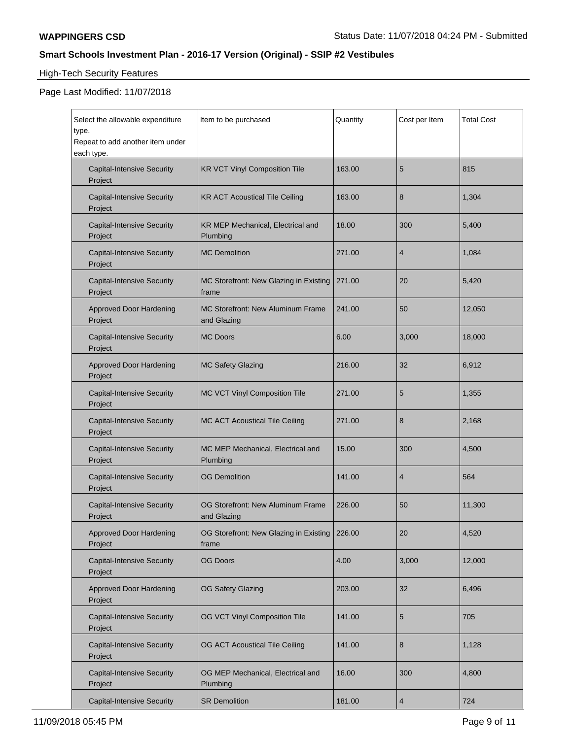# High-Tech Security Features

| Select the allowable expenditure<br>type.<br>Repeat to add another item under<br>each type. | Item to be purchased                                    | Quantity | Cost per Item  | <b>Total Cost</b> |
|---------------------------------------------------------------------------------------------|---------------------------------------------------------|----------|----------------|-------------------|
| <b>Capital-Intensive Security</b><br>Project                                                | <b>KR VCT Vinyl Composition Tile</b>                    | 163.00   | 5              | 815               |
| <b>Capital-Intensive Security</b><br>Project                                                | <b>KR ACT Acoustical Tile Ceiling</b>                   | 163.00   | 8              | 1,304             |
| <b>Capital-Intensive Security</b><br>Project                                                | KR MEP Mechanical, Electrical and<br>Plumbing           | 18.00    | 300            | 5,400             |
| <b>Capital-Intensive Security</b><br>Project                                                | <b>MC Demolition</b>                                    | 271.00   | $\overline{4}$ | 1,084             |
| <b>Capital-Intensive Security</b><br>Project                                                | MC Storefront: New Glazing in Existing<br>frame         | 271.00   | 20             | 5,420             |
| <b>Approved Door Hardening</b><br>Project                                                   | <b>MC Storefront: New Aluminum Frame</b><br>and Glazing | 241.00   | 50             | 12,050            |
| <b>Capital-Intensive Security</b><br>Project                                                | <b>MC Doors</b>                                         | 6.00     | 3,000          | 18,000            |
| <b>Approved Door Hardening</b><br>Project                                                   | <b>MC Safety Glazing</b>                                | 216.00   | 32             | 6,912             |
| <b>Capital-Intensive Security</b><br>Project                                                | MC VCT Vinyl Composition Tile                           | 271.00   | 5              | 1,355             |
| <b>Capital-Intensive Security</b><br>Project                                                | MC ACT Acoustical Tile Ceiling                          | 271.00   | 8              | 2,168             |
| <b>Capital-Intensive Security</b><br>Project                                                | MC MEP Mechanical, Electrical and<br>Plumbing           | 15.00    | 300            | 4,500             |
| <b>Capital-Intensive Security</b><br>Project                                                | <b>OG Demolition</b>                                    | 141.00   | $\overline{4}$ | 564               |
| <b>Capital-Intensive Security</b><br>Project                                                | OG Storefront: New Aluminum Frame<br>and Glazing        | 226.00   | 50             | 11,300            |
| Approved Door Hardening<br>Project                                                          | OG Storefront: New Glazing in Existing<br>frame         | 226.00   | 20             | 4,520             |
| <b>Capital-Intensive Security</b><br>Project                                                | <b>OG Doors</b>                                         | 4.00     | 3,000          | 12,000            |
| <b>Approved Door Hardening</b><br>Project                                                   | <b>OG Safety Glazing</b>                                | 203.00   | 32             | 6,496             |
| <b>Capital-Intensive Security</b><br>Project                                                | OG VCT Vinyl Composition Tile                           | 141.00   | 5              | 705               |
| <b>Capital-Intensive Security</b><br>Project                                                | <b>OG ACT Acoustical Tile Ceiling</b>                   | 141.00   | 8              | 1,128             |
| <b>Capital-Intensive Security</b><br>Project                                                | OG MEP Mechanical, Electrical and<br>Plumbing           | 16.00    | 300            | 4,800             |
| <b>Capital-Intensive Security</b>                                                           | <b>SR Demolition</b>                                    | 181.00   | $\overline{4}$ | 724               |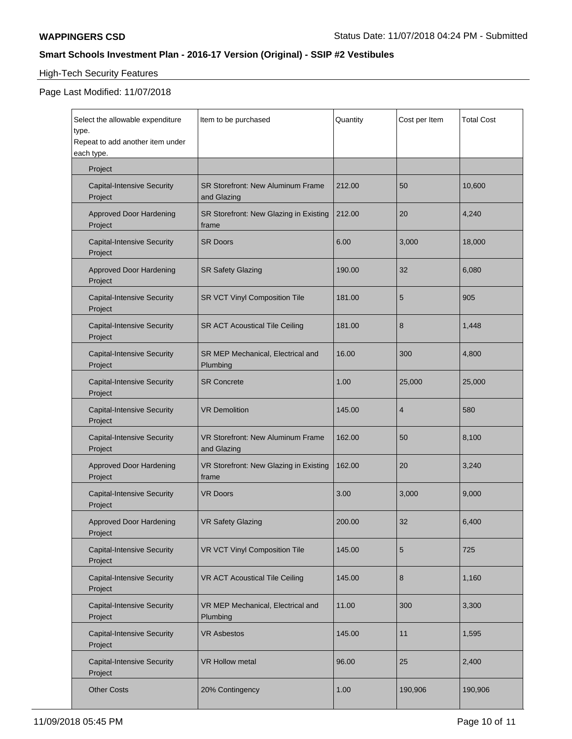# High-Tech Security Features

| Select the allowable expenditure<br>type.<br>Repeat to add another item under<br>each type. | Item to be purchased                             | Quantity | Cost per Item  | <b>Total Cost</b> |
|---------------------------------------------------------------------------------------------|--------------------------------------------------|----------|----------------|-------------------|
| Project                                                                                     |                                                  |          |                |                   |
| <b>Capital-Intensive Security</b><br>Project                                                | SR Storefront: New Aluminum Frame<br>and Glazing | 212.00   | 50             | 10,600            |
| <b>Approved Door Hardening</b><br>Project                                                   | SR Storefront: New Glazing in Existing<br>frame  | 212.00   | 20             | 4,240             |
| <b>Capital-Intensive Security</b><br>Project                                                | <b>SR Doors</b>                                  | 6.00     | 3,000          | 18,000            |
| <b>Approved Door Hardening</b><br>Project                                                   | <b>SR Safety Glazing</b>                         | 190.00   | 32             | 6,080             |
| <b>Capital-Intensive Security</b><br>Project                                                | SR VCT Vinyl Composition Tile                    | 181.00   | 5              | 905               |
| <b>Capital-Intensive Security</b><br>Project                                                | <b>SR ACT Acoustical Tile Ceiling</b>            | 181.00   | 8              | 1,448             |
| <b>Capital-Intensive Security</b><br>Project                                                | SR MEP Mechanical, Electrical and<br>Plumbing    | 16.00    | 300            | 4,800             |
| <b>Capital-Intensive Security</b><br>Project                                                | <b>SR Concrete</b>                               | 1.00     | 25,000         | 25,000            |
| <b>Capital-Intensive Security</b><br>Project                                                | <b>VR Demolition</b>                             | 145.00   | $\overline{4}$ | 580               |
| <b>Capital-Intensive Security</b><br>Project                                                | VR Storefront: New Aluminum Frame<br>and Glazing | 162.00   | 50             | 8,100             |
| <b>Approved Door Hardening</b><br>Project                                                   | VR Storefront: New Glazing in Existing<br>frame  | 162.00   | 20             | 3,240             |
| <b>Capital-Intensive Security</b><br>Project                                                | <b>VR Doors</b>                                  | 3.00     | 3,000          | 9,000             |
| <b>Approved Door Hardening</b><br>Project                                                   | <b>VR Safety Glazing</b>                         | 200.00   | 32             | 6,400             |
| <b>Capital-Intensive Security</b><br>Project                                                | <b>VR VCT Vinyl Composition Tile</b>             | 145.00   | 5              | 725               |
| <b>Capital-Intensive Security</b><br>Project                                                | VR ACT Acoustical Tile Ceiling                   | 145.00   | $\bf 8$        | 1,160             |
| <b>Capital-Intensive Security</b><br>Project                                                | VR MEP Mechanical, Electrical and<br>Plumbing    | 11.00    | 300            | 3,300             |
| <b>Capital-Intensive Security</b><br>Project                                                | <b>VR Asbestos</b>                               | 145.00   | 11             | 1,595             |
| <b>Capital-Intensive Security</b><br>Project                                                | <b>VR Hollow metal</b>                           | 96.00    | 25             | 2,400             |
| <b>Other Costs</b>                                                                          | 20% Contingency                                  | 1.00     | 190,906        | 190,906           |